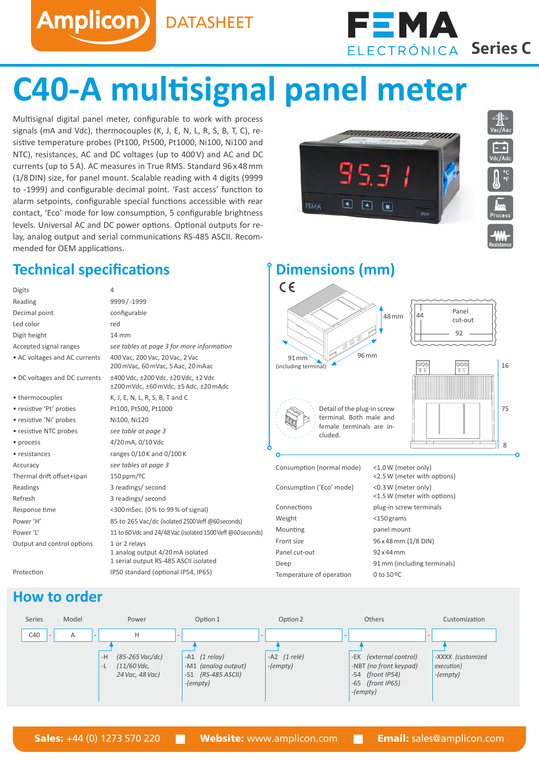Amplicon) DATASHEET



# **C40-A multisignal panel meter**

Multisignal digital panel meter, configurable to work with process signals (mA and Vdc), thermocouples (K, J, E, N, L, R, S, B, T, C), resistive temperature probes (Pt100, Pt500, Pt1000, Ni100, Ni100 and NTC), resistances, AC and DC voltages (up to 400V) and AC and DC currents (up to 5A). AC measures in True RMS. Standard 96x48mm (1/8DIN) size, for panel mount. Scalable reading with 4 digits (9999 to -1999) and configurable decimal point. 'Fast access' function to alarm setpoints, configurable special functions accessible with rear contact, 'Eco' mode for low consumption, 5 configurable brightness levels. Universal AC and DC power options. Optional outputs for relay, analog output and serial communications RS-485 ASCII. Recommended for OEM applications.

### **Technical specifications Dimensions** (mm)

| Digits                        | 4                                                                                          |
|-------------------------------|--------------------------------------------------------------------------------------------|
| Reading                       | 9999 / -1999                                                                               |
| Decimal point                 | configurable                                                                               |
| Led color                     | red                                                                                        |
| Digit height                  | 14 mm                                                                                      |
| Accepted signal ranges        | see tables at page 3 for more information                                                  |
| • AC voltages and AC currents | 400 Vac, 200 Vac, 20 Vac, 2 Vac<br>200 mVac, 60 mVac, 5 Aac, 20 mAac                       |
| • DC voltages and DC currents | ±400 Vdc, ±200 Vdc, ±20 Vdc, ±2 Vdc<br>±200 mVdc, ±60 mVdc, ±5 Adc, ±20 mAdc               |
| • thermocouples               | K, J, E, N, L, R, S, B, T and C                                                            |
| • resistive 'Pt' probes       | Pt100, Pt500, Pt1000                                                                       |
| · resistive 'Ni' probes       | Ni100, Ni120                                                                               |
| • resistive NTC probes        | see table at page 3                                                                        |
| • process                     | 4/20 mA, 0/10 Vdc                                                                          |
| • resistances                 | ranges 0/10 K and 0/100 K                                                                  |
| Accuracy                      | see tables at page 3                                                                       |
| Thermal drift offset+span     | $150$ ppm/ <sup>o</sup> C                                                                  |
| Readings                      | 3 readings/ second                                                                         |
| Refresh                       | 3 readings/ second                                                                         |
| Response time                 | <300 mSec. (0% to 99% of signal)                                                           |
| Power 'H'                     | 85 to 265 Vac/dc (isolated 2500 Veff @60 seconds)                                          |
| Power 'L'                     | 11 to 60 Vdc and 24/48 Vac (isolated 1500 Veff @60 seconds)                                |
| Output and control options    | 1 or 2 relays<br>1 analog output 4/20 mA isolated<br>1 serial output RS-485 ASCII isolated |
| Protection                    | IP50 standard (optional IP54, IP65)                                                        |

FEMA

 $\Box$ 



cluded.



**Resistance**

8 75

| Consumption (normal mode) | <1.0W (meter only)<br><2.5 W (meter with options)  |
|---------------------------|----------------------------------------------------|
| Consumption ('Eco' mode)  | <0.3 W (meter only)<br><1.5 W (meter with options) |
| Connections               | plug-in screw terminals                            |
| Weight                    | $<$ 150 grams                                      |
| Mounting                  | panel mount                                        |
| Front size                | 96 x 48 mm (1/8 DIN)                               |
| Panel cut-out             | $92x44$ mm                                         |
| Deep                      | 91 mm (including terminals)                        |
| Temperature of operation  | $0$ to $50$ <sup>o</sup> C                         |
|                           |                                                    |

Detail of the plug-in screw terminal. Both male and female terminals are in-

#### **How to order**

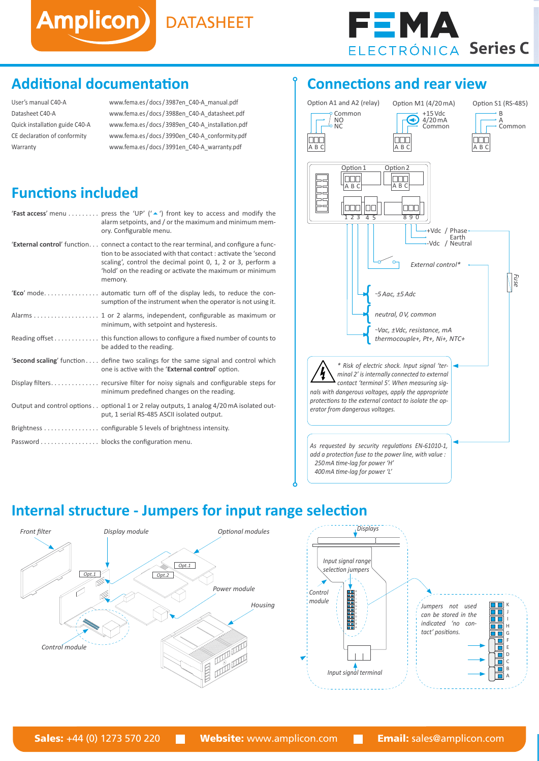

#### **Additional documentation**

| User's manual C40-A            |
|--------------------------------|
| Datasheet C40-A                |
| Quick installation guide C40-A |
| CE declaration of conformity   |
| Warranty                       |

[www.fema.es/docs/3987en\\_C40-A\\_manual.pdf](http://www.fema.es/docs/3987en_C40-A_manual.pdf) [www.fema.es/docs/3988en\\_C40-A\\_datasheet.pdf](http://www.fema.es/docs/3988en_C40-A_datasheet.pdf) [www.fema.es/docs/3989en\\_C40-A\\_installation.pdf](http://www.fema.es/docs/3989en_C40-A_installation.pdf) [www.fema.es/docs/3990en\\_C40-A\\_conformity.pdf](http://www.fema.es/docs/3990en_C40-A_conformity.pdf) [www.fema.es/docs/3991en\\_C40-A\\_warranty.pdf](http://www.fema.es/docs/3991en_C40-A_warranty.pdf)

Amplicon) DATASHEET

#### **Functions included**

| <b>'Fast access'</b> menu  press the 'UP' $(^\prime \triangle'')$ front key to access and modify the<br>alarm setpoints, and / or the maximum and minimum mem-<br>ory. Configurable menu.                                                                                                                |
|----------------------------------------------------------------------------------------------------------------------------------------------------------------------------------------------------------------------------------------------------------------------------------------------------------|
| <b>'External control'</b> function connect a contact to the rear terminal, and configure a func-<br>tion to be associated with that contact : activate the 'second<br>scaling', control the decimal point 0, 1, 2 or 3, perform a<br>'hold' on the reading or activate the maximum or minimum<br>memory. |
| 'Eco' mode automatic turn off of the display leds, to reduce the con-<br>sumption of the instrument when the operator is not using it.                                                                                                                                                                   |
| minimum, with setpoint and hysteresis.                                                                                                                                                                                                                                                                   |
| Reading offset this function allows to configure a fixed number of counts to<br>be added to the reading.                                                                                                                                                                                                 |
| <b>Second scaling'</b> function define two scalings for the same signal and control which<br>one is active with the 'External control' option.                                                                                                                                                           |
| minimum predefined changes on the reading.                                                                                                                                                                                                                                                               |
| Output and control options optional 1 or 2 relay outputs, 1 analog 4/20 mA isolated out-<br>put, 1 serial RS-485 ASCII isolated output.                                                                                                                                                                  |
|                                                                                                                                                                                                                                                                                                          |
| Password blocks the configuration menu.                                                                                                                                                                                                                                                                  |

#### **Connections and rear view**



## **Internal structure - Jumpers for input range selection**

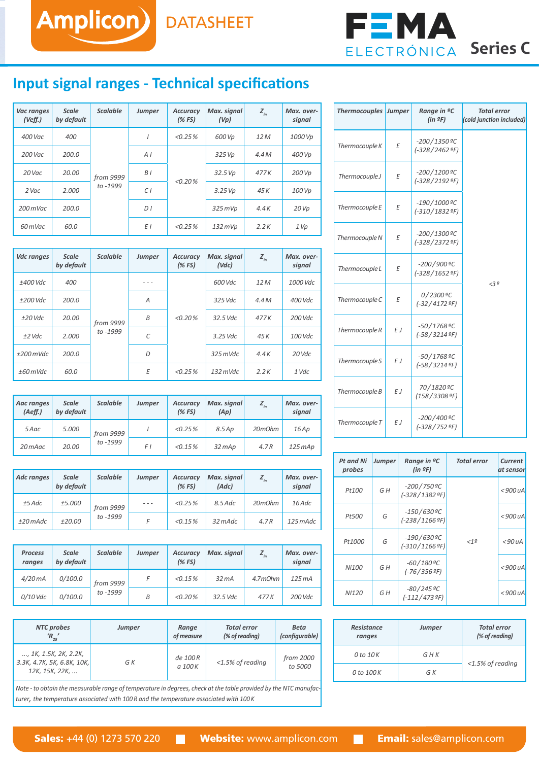

#### **Input signal ranges - Technical specifications**

Amplicon) DATASHEET

| Vac ranges<br>(Veff.) | <b>Scale</b><br>by default | <b>Scalable</b>       | <b>Jumper</b>  | <b>Accuracy</b><br>(%FS) | Max. signal<br>(Vp) | $Z_{in}$ | Max. over-<br>signal |
|-----------------------|----------------------------|-----------------------|----------------|--------------------------|---------------------|----------|----------------------|
| 400 Vac               | 400                        |                       |                | <0.25%                   | 600 Vp              | 12 M     | 1000 Vp              |
| 200 Vac               | 200.0                      | from 9999<br>to -1999 | A <sub>l</sub> | < 0.20%                  | 325 Vp              | 4.4M     | 400 Vp               |
| 20 Vac                | 20.00                      |                       | B <sub>1</sub> |                          | 32.5Vp              | 477K     | 200 Vp               |
| $2$ Vac               | 2.000                      |                       | C1             |                          | 3.25 Vp             | 45 K     | 100 Vp               |
| $200$ mVac            | 200.0                      |                       | D <sub>1</sub> |                          | $325$ mVp           | 4.4K     | 20 Vp                |
| 60 m Vac              | 60.0                       |                       | ΕI             | $< 0.25 \%$              | $132$ mVp           | 2.2K     | 1 Vp                 |

| <b>Vdc ranges</b> | <b>Scale</b><br>by default | <b>Scalable</b>       | <b>Jumper</b> | <b>Accuracy</b><br>(%FS) | Max. signal<br>(Vdc) | $Z_{in}$ | Max. over-<br>signal |
|-------------------|----------------------------|-----------------------|---------------|--------------------------|----------------------|----------|----------------------|
| ±400 Vdc          | 400                        |                       | - - -         |                          | 600 Vdc              | 12 M     | 1000 Vdc             |
| $±200$ Vdc        | 200.0                      |                       | A             |                          | 325 Vdc              | 4.4M     | $400$ Vdc            |
| $±20$ Vdc         | 20.00                      | from 9999<br>to -1999 | B             | < 0.20%                  | 32.5 Vdc             | 477K     | $200$ Vdc            |
| $±2$ Vdc          | 2.000                      |                       | C             |                          | $3.25$ Vdc           | 45 K     | $100$ Vdc            |
| $±200$ mVdc       | 200.0                      |                       | D             |                          | $325$ mVdc           | 4.4K     | $20$ Vdc             |
| $±60$ mVdc        | 60.0                       |                       | Ε             | <0.25%                   | $132$ mVdc           | 2.2K     | 1 Vdc                |

| Aac ranges<br>(Aeff.) | <b>Scale</b><br>by default | <b>Scalable</b>         | <b>Jumper</b> | <b>Accuracy</b><br>(%FS) | Max. signal<br>(Ap) | $Z_{in}$ | Max. over-<br>signal |
|-----------------------|----------------------------|-------------------------|---------------|--------------------------|---------------------|----------|----------------------|
| 5 Aac                 | 5.000                      | from 9999<br>to $-1999$ |               | <0.25%                   | $8.5$ Ap            | 20mOhm   | 16Ap                 |
| 20 mAac               | 20.00                      |                         | F I           | < 0.15 %                 | $32$ $mAp$          | 4.7R     | 125 m Ap             |

| Adc ranges | <b>Scale</b><br>by default | <b>Scalable</b>         | <b>Jumper</b> | <b>Accuracy</b><br>(%FS) | Max. signal<br>(Adc) | $Z_{in}$ | Max. over-<br>signal |
|------------|----------------------------|-------------------------|---------------|--------------------------|----------------------|----------|----------------------|
| $±5$ Adc   | ±5.000                     | from 9999<br>to $-1999$ | $- - -$       | <0.25%                   | $8.5$ Adc            | 20mOhm   | 16 Adc               |
| $±20$ mAdc | ±20.00                     |                         |               | $< 0.15 \%$              | 32 mAdc              | 4.7R     | 125 mAdc             |

| <b>Process</b><br>ranges | Scale<br>by default | <b>Scalable</b>         | Jumper | <b>Accuracy</b><br>(%FS) | Max. signal      |         | Max. over-<br>signal |
|--------------------------|---------------------|-------------------------|--------|--------------------------|------------------|---------|----------------------|
| 4/20mA                   | 0/100.0             | from 9999<br>to $-1999$ |        | $< 0.15 \%$              | 32 <sub>ma</sub> | 4.7mOhm | 125mA                |
| $0/10$ Vdc               | 0/100.0             |                         | B      | <0.20%                   | 32.5 Vdc         | 477K    | 200 Vdc              |

| <b>NTC</b> probes                                                     | <b>Jumper</b> | Range               | <b>Total error</b>  | Beta                 |
|-----------------------------------------------------------------------|---------------|---------------------|---------------------|----------------------|
| $R_{25}$                                                              |               | of measure          | (% of reading)      | (configurable)       |
| , 1K, 1.5K, 2K, 2.2K,<br>3.3K, 4.7K, 5K, 6.8K, 10K,<br>12K, 15K, 22K, | G K           | de 100 R<br>a 100 K | $<$ 1.5% of reading | from 2000<br>to 5000 |

*Note - to obtain the measurable range of temperature in degrees, check at the table provided by the NTC manufacturer, the temperature associated with 100 R and the temperature associated with 100 K*

| <b>Thermocouples</b> | <b>Jumper</b> | Range in <sup>o</sup> C<br>(in 9F)    | Total error<br>(cold junction included) |
|----------------------|---------------|---------------------------------------|-----------------------------------------|
| Thermocouple K       | E             | $-200/1350$ °C<br>$(-328/24629)$ F)   |                                         |
| Thermocouple J       | E             | $-200/1200$ ºC<br>$(-328/21929)$      |                                         |
| Thermocouple E       | Ε             | $-190/1000$ $°C$<br>$(-310/18329)$ F) |                                         |
| Thermocouple N       | E             | $-200/1300$ $°C$<br>$(-328/23729)$    |                                         |
| Thermocouple L       | E             | $-200/900$ ºC<br>$(-328/1652$ °F)     | <30                                     |
| Thermocouple C       | E             | 0/2300 ºC<br>$(-32/41729)$ F)         |                                         |
| Thermocouple R       | E J           | $-50/1768$ $°C$<br>$(-58/32149)$      |                                         |
| Thermocouple S       | E J           | $-50/1768$ $°C$<br>$(-58/32149)$      |                                         |
| Thermocouple B       | E J           | 70/1820 ºC<br>$(158/3308$ °F)         |                                         |
| Thermocouple T       | E J           | $-200/400$ $°C$<br>$(-328/7529)$      |                                         |

| <b>Pt and Ni</b><br>probes | Jumper | Range in <sup>o</sup> C<br>(in 9F)  | <b>Total error</b> | <b>Current</b><br>at sensor |
|----------------------------|--------|-------------------------------------|--------------------|-----------------------------|
| Pt100                      | G H    | $-200/750$ $°C$<br>$(-328/13829F)$  |                    | $<$ 900 $uA$                |
| Pt500                      | G      | $-150/630$ $°C$<br>$(-238/1166$ ºF) |                    | $<$ 900 uA                  |
| Pt1000                     | G      | $-190/630$ $°C$<br>$(-310/1166$ °F) | <19                | $<$ 90 $uA$                 |
| Ni100                      | G H    | $-60/180$ $°C$<br>$(-76/3569F)$     |                    | $<$ 900 $uA$                |
| NI120                      | G H    | $-80/245$ $°C$<br>$(-112/4739F)$    |                    | $<$ 900 uA                  |

| <b>Resistance</b><br>ranges | <b>Jumper</b> | <b>Total error</b><br>(% of reading) |
|-----------------------------|---------------|--------------------------------------|
| $0$ to $10K$                | GHK           | $<$ 1.5% of reading                  |
| 0 to 100K                   | G K           |                                      |